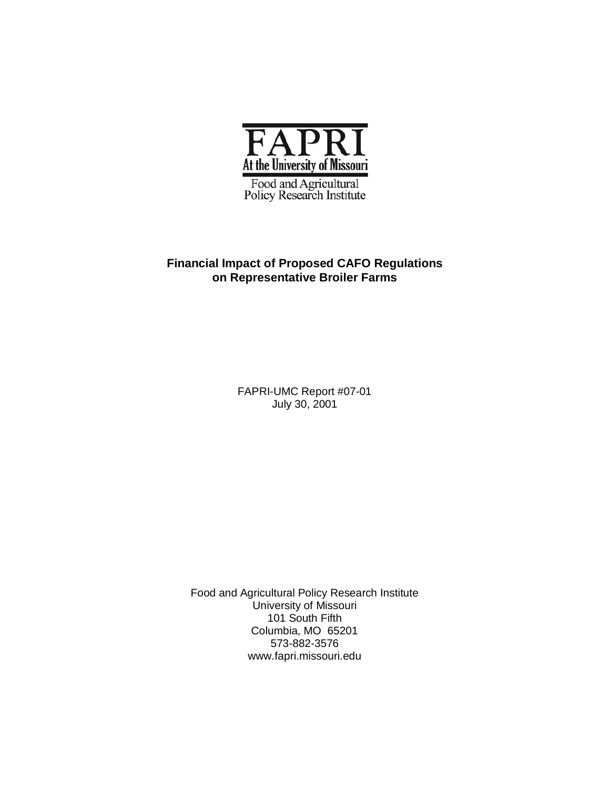

Food and Agricultural<br>Policy Research Institute

# **Financial Impact of Proposed CAFO Regulations on Representative Broiler Farms**

FAPRI-UMC Report #07-01 July 30, 2001

Food and Agricultural Policy Research Institute University of Missouri 101 South Fifth Columbia, MO 65201 573-882-3576 www.fapri.missouri.edu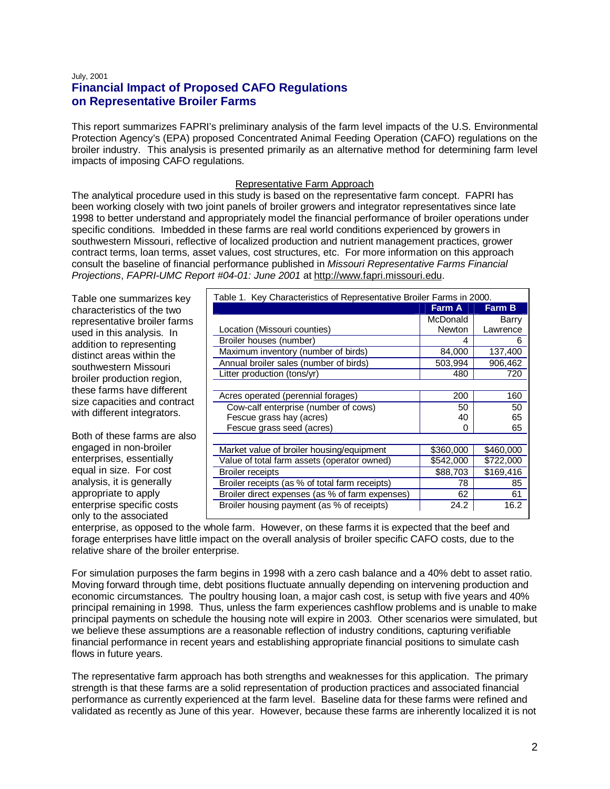# July, 2001 **Financial Impact of Proposed CAFO Regulations on Representative Broiler Farms**

This report summarizes FAPRI's preliminary analysis of the farm level impacts of the U.S. Environmental Protection Agency's (EPA) proposed Concentrated Animal Feeding Operation (CAFO) regulations on the broiler industry. This analysis is presented primarily as an alternative method for determining farm level impacts of imposing CAFO regulations.

## Representative Farm Approach

The analytical procedure used in this study is based on the representative farm concept. FAPRI has been working closely with two joint panels of broiler growers and integrator representatives since late 1998 to better understand and appropriately model the financial performance of broiler operations under specific conditions. Imbedded in these farms are real world conditions experienced by growers in southwestern Missouri, reflective of localized production and nutrient management practices, grower contract terms, loan terms, asset values, cost structures, etc. For more information on this approach consult the baseline of financial performance published in Missouri Representative Farms Financial Projections, FAPRI-UMC Report #04-01: June 2001 at http://www.fapri.missouri.edu.

Table one summarizes key characteristics of the two representative broiler farms used in this analysis. In addition to representing distinct areas within the southwestern Missouri broiler production region, these farms have different size capacities and contract with different integrators.

Both of these farms are also engaged in non-broiler enterprises, essentially equal in size. For cost analysis, it is generally appropriate to apply enterprise specific costs only to the associated

| Table 1. Key Characteristics of Representative Broiler Farms in 2000. |               |           |  |  |
|-----------------------------------------------------------------------|---------------|-----------|--|--|
|                                                                       | <b>Farm A</b> | Farm B    |  |  |
|                                                                       | McDonald      | Barry     |  |  |
| Location (Missouri counties)                                          | Newton        | Lawrence  |  |  |
| Broiler houses (number)                                               | 4             | 6         |  |  |
| Maximum inventory (number of birds)                                   | 84,000        | 137,400   |  |  |
| Annual broiler sales (number of birds)                                | 503,994       | 906,462   |  |  |
| Litter production (tons/yr)                                           | 480           | 720       |  |  |
|                                                                       |               |           |  |  |
| Acres operated (perennial forages)                                    | 200           | 160       |  |  |
| Cow-calf enterprise (number of cows)                                  | 50            | 50        |  |  |
| Fescue grass hay (acres)                                              | 40            | 65        |  |  |
| Fescue grass seed (acres)                                             | $\mathbf{0}$  | 65        |  |  |
|                                                                       |               |           |  |  |
| Market value of broiler housing/equipment                             | \$360,000     | \$460,000 |  |  |
| Value of total farm assets (operator owned)                           | \$542,000     | \$722,000 |  |  |
| <b>Broiler receipts</b>                                               | \$88,703      | \$169,416 |  |  |
| Broiler receipts (as % of total farm receipts)                        | 78            | 85        |  |  |
| Broiler direct expenses (as % of farm expenses)                       | 62            | 61        |  |  |
| Broiler housing payment (as % of receipts)                            | 24.2          | 16.2      |  |  |
|                                                                       |               |           |  |  |

enterprise, as opposed to the whole farm. However, on these farms it is expected that the beef and forage enterprises have little impact on the overall analysis of broiler specific CAFO costs, due to the relative share of the broiler enterprise.

For simulation purposes the farm begins in 1998 with a zero cash balance and a 40% debt to asset ratio. Moving forward through time, debt positions fluctuate annually depending on intervening production and economic circumstances. The poultry housing loan, a major cash cost, is setup with five years and 40% principal remaining in 1998. Thus, unless the farm experiences cashflow problems and is unable to make principal payments on schedule the housing note will expire in 2003. Other scenarios were simulated, but we believe these assumptions are a reasonable reflection of industry conditions, capturing verifiable financial performance in recent years and establishing appropriate financial positions to simulate cash flows in future years.

The representative farm approach has both strengths and weaknesses for this application. The primary strength is that these farms are a solid representation of production practices and associated financial performance as currently experienced at the farm level. Baseline data for these farms were refined and validated as recently as June of this year. However, because these farms are inherently localized it is not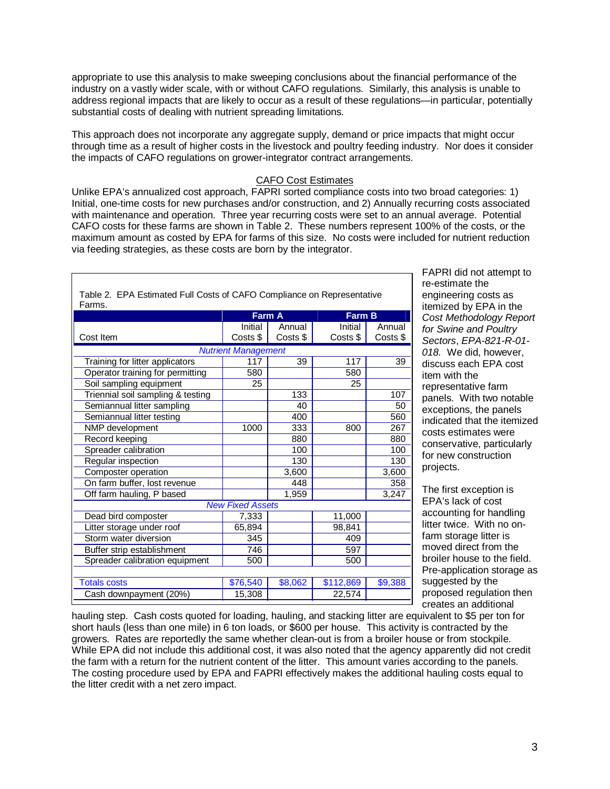appropriate to use this analysis to make sweeping conclusions about the financial performance of the industry on a vastly wider scale, with or without CAFO regulations. Similarly, this analysis is unable to address regional impacts that are likely to occur as a result of these regulations—in particular, potentially substantial costs of dealing with nutrient spreading limitations.

This approach does not incorporate any aggregate supply, demand or price impacts that might occur through time as a result of higher costs in the livestock and poultry feeding industry. Nor does it consider the impacts of CAFO regulations on grower-integrator contract arrangements.

## CAFO Cost Estimates

Unlike EPA's annualized cost approach, FAPRI sorted compliance costs into two broad categories: 1) Initial, one-time costs for new purchases and/or construction, and 2) Annually recurring costs associated with maintenance and operation. Three year recurring costs were set to an annual average. Potential CAFO costs for these farms are shown in Table 2. These numbers represent 100% of the costs, or the maximum amount as costed by EPA for farms of this size. No costs were included for nutrient reduction via feeding strategies, as these costs are born by the integrator.

| Table 2. EPA Estimated Full Costs of CAFO Compliance on Representative<br>Farms. |          |          |               |          |  |  |
|----------------------------------------------------------------------------------|----------|----------|---------------|----------|--|--|
|                                                                                  | Farm A   |          | <b>Farm B</b> |          |  |  |
|                                                                                  | Initial  | Annual   | Initial       | Annual   |  |  |
| Cost Item                                                                        | Costs \$ | Costs \$ | Costs \$      | Costs \$ |  |  |
| <b>Nutrient Management</b>                                                       |          |          |               |          |  |  |
| Training for litter applicators                                                  | 117      | 39       | 117           | 39       |  |  |
| Operator training for permitting                                                 | 580      |          | 580           |          |  |  |
| Soil sampling equipment                                                          | 25       |          | 25            |          |  |  |
| Triennial soil sampling & testing                                                |          | 133      |               | 107      |  |  |
| Semiannual litter sampling                                                       |          | 40       |               | 50       |  |  |
| Semiannual litter testing                                                        |          | 400      |               | 560      |  |  |
| NMP development                                                                  | 1000     | 333      | 800           | 267      |  |  |
| Record keeping                                                                   |          | 880      |               | 880      |  |  |
| Spreader calibration                                                             |          | 100      |               | 100      |  |  |
| Regular inspection                                                               |          | 130      |               | 130      |  |  |
| Composter operation                                                              |          | 3,600    |               | 3,600    |  |  |
| On farm buffer, lost revenue                                                     |          | 448      |               | 358      |  |  |
| Off farm hauling, P based                                                        |          | 1,959    |               | 3,247    |  |  |
| <b>New Fixed Assets</b>                                                          |          |          |               |          |  |  |
| Dead bird composter                                                              | 7,333    |          | 11,000        |          |  |  |
| Litter storage under roof                                                        | 65,894   |          | 98,841        |          |  |  |
| Storm water diversion                                                            | 345      |          | 409           |          |  |  |
| Buffer strip establishment                                                       | 746      |          | 597           |          |  |  |
| Spreader calibration equipment                                                   | 500      |          | 500           |          |  |  |
|                                                                                  |          |          |               |          |  |  |
| <b>Totals costs</b>                                                              | \$76,540 | \$8,062  | \$112,869     | \$9,388  |  |  |
| Cash downpayment (20%)                                                           | 15,308   |          | 22,574        |          |  |  |

FAPRI did not attempt to re-estimate the engineering costs as itemized by EPA in the Cost Methodology Report for Swine and Poultry Sectors, EPA-821-R-01- 018. We did, however, discuss each EPA cost item with the representative farm panels. With two notable exceptions, the panels indicated that the itemized costs estimates were conservative, particularly for new construction projects.

The first exception is EPA's lack of cost accounting for handling litter twice. With no onfarm storage litter is moved direct from the broiler house to the field. Pre-application storage as suggested by the proposed regulation then creates an additional

hauling step. Cash costs quoted for loading, hauling, and stacking litter are equivalent to \$5 per ton for short hauls (less than one mile) in 6 ton loads, or \$600 per house. This activity is contracted by the growers. Rates are reportedly the same whether clean-out is from a broiler house or from stockpile. While EPA did not include this additional cost, it was also noted that the agency apparently did not credit the farm with a return for the nutrient content of the litter. This amount varies according to the panels. The costing procedure used by EPA and FAPRI effectively makes the additional hauling costs equal to the litter credit with a net zero impact.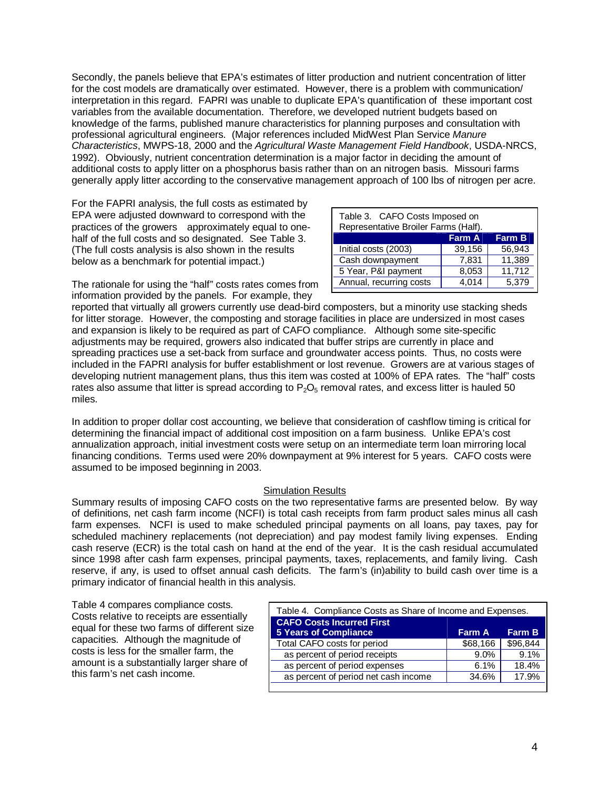Secondly, the panels believe that EPA's estimates of litter production and nutrient concentration of litter for the cost models are dramatically over estimated. However, there is a problem with communication/ interpretation in this regard. FAPRI was unable to duplicate EPA's quantification of these important cost variables from the available documentation. Therefore, we developed nutrient budgets based on knowledge of the farms, published manure characteristics for planning purposes and consultation with professional agricultural engineers. (Major references included MidWest Plan Service Manure Characteristics, MWPS-18, 2000 and the Agricultural Waste Management Field Handbook, USDA-NRCS, 1992). Obviously, nutrient concentration determination is a major factor in deciding the amount of additional costs to apply litter on a phosphorus basis rather than on an nitrogen basis. Missouri farms generally apply litter according to the conservative management approach of 100 lbs of nitrogen per acre.

For the FAPRI analysis, the full costs as estimated by EPA were adjusted downward to correspond with the practices of the growers—approximately equal to onehalf of the full costs and so designated. See Table 3. (The full costs analysis is also shown in the results below as a benchmark for potential impact.)

| Table 3. CAFO Costs Imposed on<br>Representative Broiler Farms (Half). |               |               |  |  |
|------------------------------------------------------------------------|---------------|---------------|--|--|
|                                                                        | <b>Farm A</b> | <b>Farm B</b> |  |  |
| Initial costs (2003)                                                   | 39,156        | 56,943        |  |  |
| Cash downpayment                                                       | 7,831         | 11,389        |  |  |
| 5 Year, P&I payment                                                    | 8,053         | 11,712        |  |  |
| Annual, recurring costs                                                | 4,014         | 5,379         |  |  |

The rationale for using the "half" costs rates comes from information provided by the panels. For example, they

reported that virtually all growers currently use dead-bird composters, but a minority use stacking sheds for litter storage. However, the composting and storage facilities in place are undersized in most cases and expansion is likely to be required as part of CAFO compliance. Although some site-specific adjustments may be required, growers also indicated that buffer strips are currently in place and spreading practices use a set-back from surface and groundwater access points. Thus, no costs were included in the FAPRI analysis for buffer establishment or lost revenue. Growers are at various stages of developing nutrient management plans, thus this item was costed at 100% of EPA rates. The "half" costs rates also assume that litter is spread according to  $P_2O_5$  removal rates, and excess litter is hauled 50 miles.

In addition to proper dollar cost accounting, we believe that consideration of cashflow timing is critical for determining the financial impact of additional cost imposition on a farm business. Unlike EPA's cost annualization approach, initial investment costs were setup on an intermediate term loan mirroring local financing conditions. Terms used were 20% downpayment at 9% interest for 5 years. CAFO costs were assumed to be imposed beginning in 2003.

### Simulation Results

Summary results of imposing CAFO costs on the two representative farms are presented below. By way of definitions, net cash farm income (NCFI) is total cash receipts from farm product sales minus all cash farm expenses. NCFI is used to make scheduled principal payments on all loans, pay taxes, pay for scheduled machinery replacements (not depreciation) and pay modest family living expenses. Ending cash reserve (ECR) is the total cash on hand at the end of the year. It is the cash residual accumulated since 1998 after cash farm expenses, principal payments, taxes, replacements, and family living. Cash reserve, if any, is used to offset annual cash deficits. The farm's (in)ability to build cash over time is a primary indicator of financial health in this analysis.

Table 4 compares compliance costs. Costs relative to receipts are essentially equal for these two farms of different size capacities. Although the magnitude of costs is less for the smaller farm, the amount is a substantially larger share of this farm's net cash income.

| Table 4. Compliance Costs as Share of Income and Expenses.       |          |          |  |
|------------------------------------------------------------------|----------|----------|--|
| <b>CAFO Costs Incurred First</b><br><b>5 Years of Compliance</b> | Farm A   | Farm B   |  |
| Total CAFO costs for period                                      | \$68,166 | \$96,844 |  |
| as percent of period receipts                                    | 9.0%     | 9.1%     |  |
| as percent of period expenses                                    | 6.1%     | 18.4%    |  |
| as percent of period net cash income                             | 34.6%    | 17.9%    |  |
|                                                                  |          |          |  |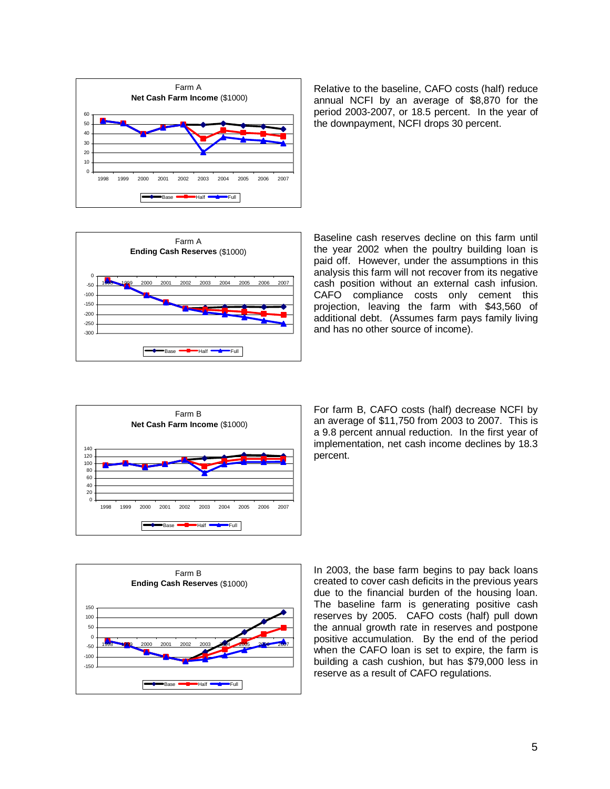

Relative to the baseline, CAFO costs (half) reduce annual NCFI by an average of \$8,870 for the period 2003-2007, or 18.5 percent. In the year of the downpayment, NCFI drops 30 percent.



Baseline cash reserves decline on this farm until the year 2002 when the poultry building loan is paid off. However, under the assumptions in this analysis this farm will not recover from its negative cash position without an external cash infusion. CAFO compliance costs only cement this projection, leaving the farm with \$43,560 of additional debt. (Assumes farm pays family living and has no other source of income).



For farm B, CAFO costs (half) decrease NCFI by an average of \$11,750 from 2003 to 2007. This is a 9.8 percent annual reduction. In the first year of implementation, net cash income declines by 18.3 percent.



In 2003, the base farm begins to pay back loans created to cover cash deficits in the previous years due to the financial burden of the housing loan. The baseline farm is generating positive cash reserves by 2005. CAFO costs (half) pull down the annual growth rate in reserves and postpone positive accumulation. By the end of the period when the CAFO loan is set to expire, the farm is building a cash cushion, but has \$79,000 less in reserve as a result of CAFO regulations.